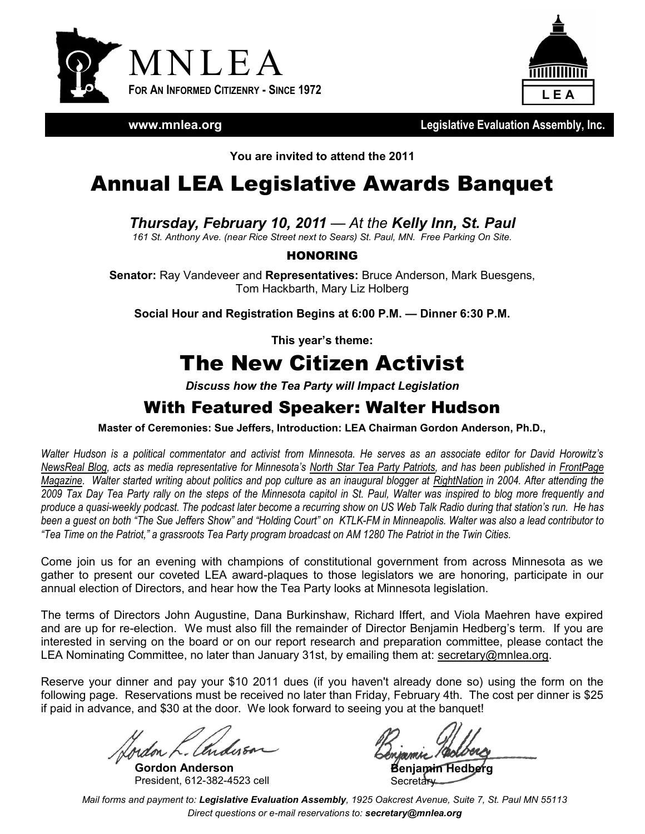



**www.mnlea.org**

**Legislative Evaluation Assembly, Inc.**

**You are invited to attend the 2011**

## Annual LEA Legislative Awards Banquet

*Thursday, February 10, 2011 — At the Kelly Inn, St. Paul*

*161 St. Anthony Ave. (near Rice Street next to Sears) St. Paul, MN. Free Parking On Site.*

#### HONORING

**Senator:** Ray Vandeveer and **Representatives:** Bruce Anderson, Mark Buesgens, Tom Hackbarth, Mary Liz Holberg

**Social Hour and Registration Begins at 6:00 P.M. — Dinner 6:30 P.M.**

**This year's theme:**

# The New Citizen Activist

*Discuss how the Tea Party will Impact Legislation*

#### With Featured Speaker: Walter Hudson

**Master of Ceremonies: Sue Jeffers, Introduction: LEA Chairman Gordon Anderson, Ph.D.,**

*Walter Hudson is a political commentator and activist from Minnesota. He serves as an associate editor for David Horowitz's [NewsReal Blog](http://www.newsrealblog.com/), acts as media representative for Minnesota's [North Star Tea Party Patriots,](http://www.northstartpp.com/) and has been published in [FrontPage](http://frontpagemag.com/)  [Magazine.](http://frontpagemag.com/) Walter started writing about politics and pop culture as an inaugural blogger at [RightNation](http://rightnation.us/) in 2004. After attending the 2009 Tax Day Tea Party rally on the steps of the Minnesota capitol in St. Paul, Walter was inspired to blog more frequently and produce a quasi-weekly podcast. The podcast later become a recurring show on US Web Talk Radio during that station's run. He has been a guest on both "The Sue Jeffers Show" and "Holding Court" on KTLK-FM in Minneapolis. Walter was also a lead contributor to "Tea Time on the Patriot," a grassroots Tea Party program broadcast on AM 1280 The Patriot in the Twin Cities.*

Come join us for an evening with champions of constitutional government from across Minnesota as we gather to present our coveted LEA award-plaques to those legislators we are honoring, participate in our annual election of Directors, and hear how the Tea Party looks at Minnesota legislation.

The terms of Directors John Augustine, Dana Burkinshaw, Richard Iffert, and Viola Maehren have expired and are up for re-election. We must also fill the remainder of Director Benjamin Hedberg's term. If you are interested in serving on the board or on our report research and preparation committee, please contact the LEA Nominating Committee, no later than January 31st, by emailing them at: secretary@mnlea.org.

Reserve your dinner and pay your \$10 2011 dues (if you haven't already done so) using the form on the following page. Reservations must be received no later than Friday, February 4th. The cost per dinner is \$25 if paid in advance, and \$30 at the door. We look forward to seeing you at the banquet!

**Gordon Anderson** President, 612-382-4523 cell

**Benjamin Hedberg** Secretary

*Mail forms and payment to: Legislative Evaluation Assembly, 1925 Oakcrest Avenue, Suite 7, St. Paul MN 55113 Direct questions or e-mail reservations to: secretary@mnlea.org*